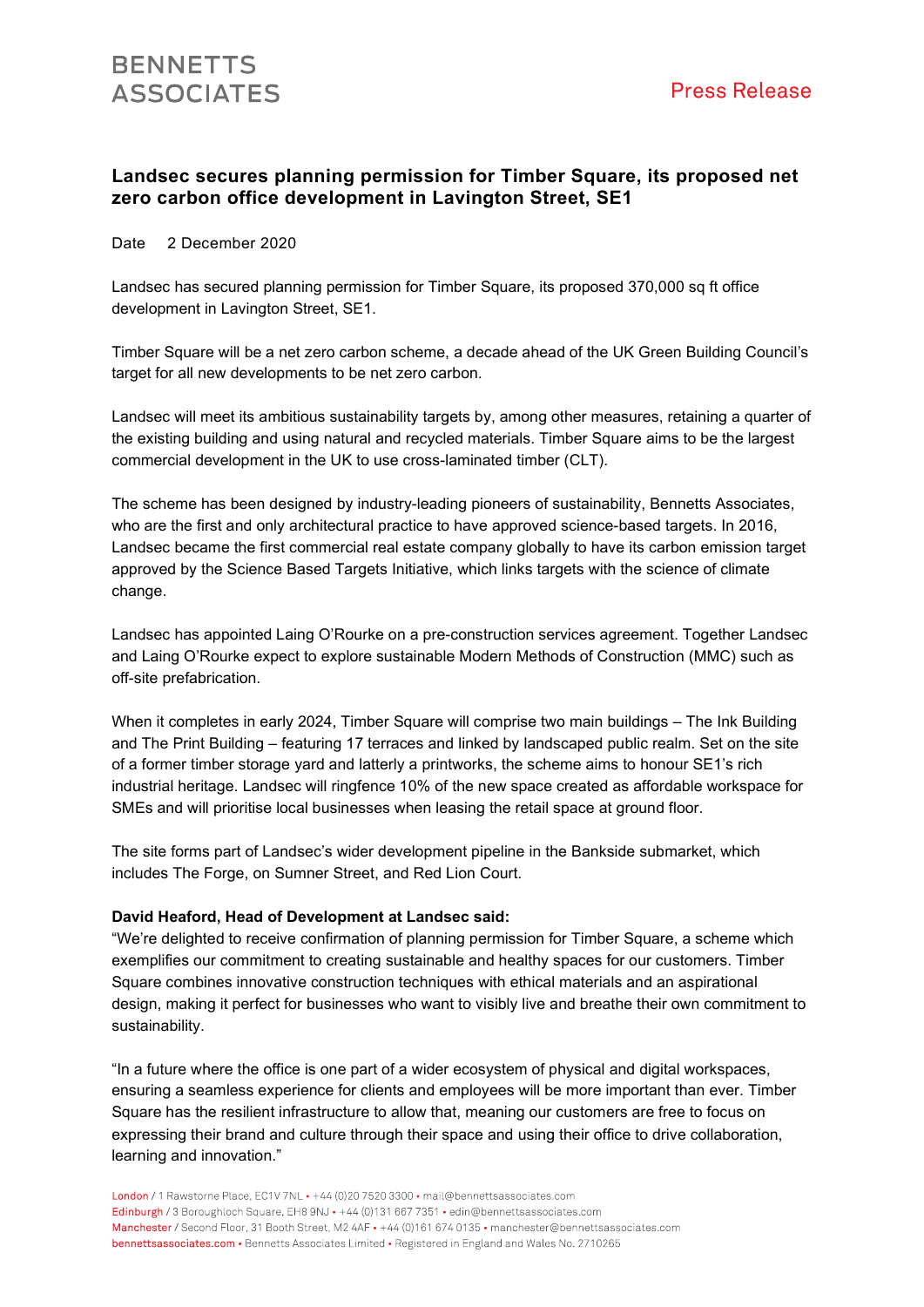## Landsec secures planning permission for Timber Square, its proposed net zero carbon office development in Lavington Street, SE1

Date 2 December 2020

Landsec has secured planning permission for Timber Square, its proposed 370,000 sq ft office development in Lavington Street, SE1.

Timber Square will be a net zero carbon scheme, a decade ahead of the UK Green Building Council's target for all new developments to be net zero carbon.

Landsec will meet its ambitious sustainability targets by, among other measures, retaining a quarter of the existing building and using natural and recycled materials. Timber Square aims to be the largest commercial development in the UK to use cross-laminated timber (CLT).

The scheme has been designed by industry-leading pioneers of sustainability, Bennetts Associates, who are the first and only architectural practice to have approved science-based targets. In 2016, Landsec became the first commercial real estate company globally to have its carbon emission target approved by the Science Based Targets Initiative, which links targets with the science of climate change.

Landsec has appointed Laing O'Rourke on a pre-construction services agreement. Together Landsec and Laing O'Rourke expect to explore sustainable Modern Methods of Construction (MMC) such as off-site prefabrication.

When it completes in early 2024, Timber Square will comprise two main buildings – The Ink Building and The Print Building – featuring 17 terraces and linked by landscaped public realm. Set on the site of a former timber storage yard and latterly a printworks, the scheme aims to honour SE1's rich industrial heritage. Landsec will ringfence 10% of the new space created as affordable workspace for SMEs and will prioritise local businesses when leasing the retail space at ground floor.

The site forms part of Landsec's wider development pipeline in the Bankside submarket, which includes The Forge, on Sumner Street, and Red Lion Court.

### David Heaford, Head of Development at Landsec said:

"We're delighted to receive confirmation of planning permission for Timber Square, a scheme which exemplifies our commitment to creating sustainable and healthy spaces for our customers. Timber Square combines innovative construction techniques with ethical materials and an aspirational design, making it perfect for businesses who want to visibly live and breathe their own commitment to sustainability.

"In a future where the office is one part of a wider ecosystem of physical and digital workspaces, ensuring a seamless experience for clients and employees will be more important than ever. Timber Square has the resilient infrastructure to allow that, meaning our customers are free to focus on expressing their brand and culture through their space and using their office to drive collaboration, learning and innovation."

London / 1 Rawstorne Place, EC1V 7NL · +44 (0)20 7520 3300 · mail@bennettsassociates.com Edinburgh / 3 Boroughloch Square, EH8 9NJ · +44 (0)131 667 7351 · edin@bennettsassociates.com Manchester / Second Floor, 31 Booth Street, M2 4AF • +44 (0)161 674 0135 • manchester@bennettsassociates.com bennettsassociates.com • Bennetts Associates Limited • Registered in England and Wales No. 2710265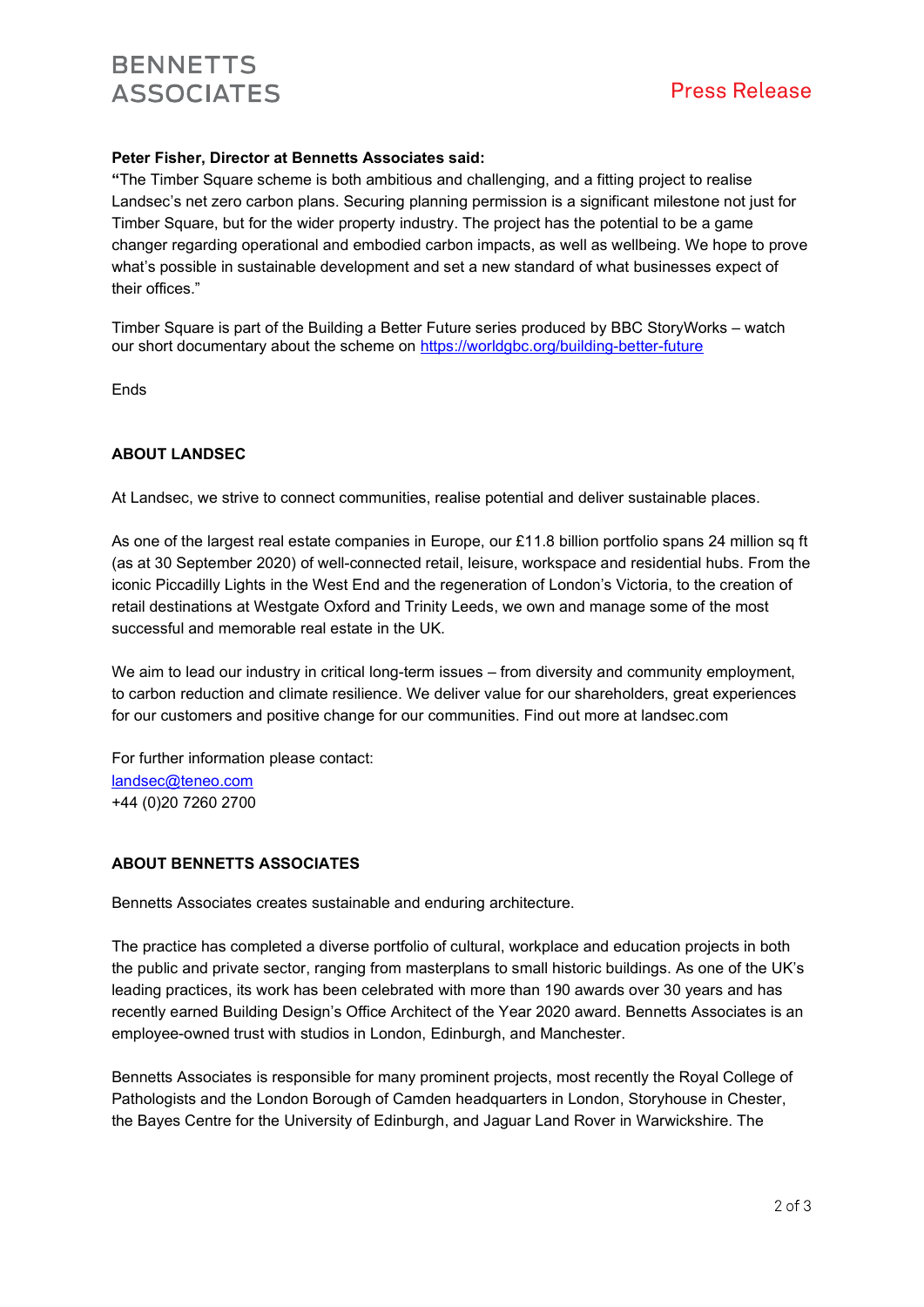## **BENNETTS ASSOCIATES**

## Peter Fisher, Director at Bennetts Associates said:

"The Timber Square scheme is both ambitious and challenging, and a fitting project to realise Landsec's net zero carbon plans. Securing planning permission is a significant milestone not just for Timber Square, but for the wider property industry. The project has the potential to be a game changer regarding operational and embodied carbon impacts, as well as wellbeing. We hope to prove what's possible in sustainable development and set a new standard of what businesses expect of their offices."

Timber Square is part of the Building a Better Future series produced by BBC StoryWorks – watch our short documentary about the scheme on https://worldgbc.org/building-better-future

Ends

### ABOUT LANDSEC

At Landsec, we strive to connect communities, realise potential and deliver sustainable places.

As one of the largest real estate companies in Europe, our £11.8 billion portfolio spans 24 million sq ft (as at 30 September 2020) of well-connected retail, leisure, workspace and residential hubs. From the iconic Piccadilly Lights in the West End and the regeneration of London's Victoria, to the creation of retail destinations at Westgate Oxford and Trinity Leeds, we own and manage some of the most successful and memorable real estate in the UK.

We aim to lead our industry in critical long-term issues – from diversity and community employment, to carbon reduction and climate resilience. We deliver value for our shareholders, great experiences for our customers and positive change for our communities. Find out more at landsec.com

For further information please contact: landsec@teneo.com +44 (0)20 7260 2700

#### ABOUT BENNETTS ASSOCIATES

Bennetts Associates creates sustainable and enduring architecture.

The practice has completed a diverse portfolio of cultural, workplace and education projects in both the public and private sector, ranging from masterplans to small historic buildings. As one of the UK's leading practices, its work has been celebrated with more than 190 awards over 30 years and has recently earned Building Design's Office Architect of the Year 2020 award. Bennetts Associates is an employee-owned trust with studios in London, Edinburgh, and Manchester.

Bennetts Associates is responsible for many prominent projects, most recently the Royal College of Pathologists and the London Borough of Camden headquarters in London, Storyhouse in Chester, the Bayes Centre for the University of Edinburgh, and Jaguar Land Rover in Warwickshire. The